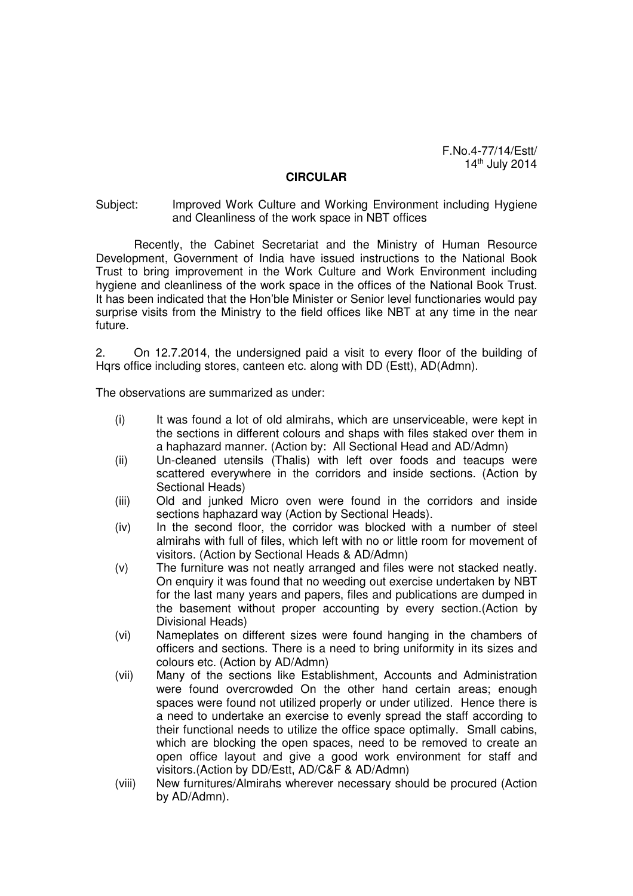F.No.4-77/14/Estt/ 14th July 2014

## **CIRCULAR**

## Subject: Improved Work Culture and Working Environment including Hygiene and Cleanliness of the work space in NBT offices

Recently, the Cabinet Secretariat and the Ministry of Human Resource Development, Government of India have issued instructions to the National Book Trust to bring improvement in the Work Culture and Work Environment including hygiene and cleanliness of the work space in the offices of the National Book Trust. It has been indicated that the Hon'ble Minister or Senior level functionaries would pay surprise visits from the Ministry to the field offices like NBT at any time in the near future.

2. On 12.7.2014, the undersigned paid a visit to every floor of the building of Hqrs office including stores, canteen etc. along with DD (Estt), AD(Admn).

The observations are summarized as under:

- (i) It was found a lot of old almirahs, which are unserviceable, were kept in the sections in different colours and shaps with files staked over them in a haphazard manner. (Action by: All Sectional Head and AD/Admn)
- (ii) Un-cleaned utensils (Thalis) with left over foods and teacups were scattered everywhere in the corridors and inside sections. (Action by Sectional Heads)
- (iii) Old and junked Micro oven were found in the corridors and inside sections haphazard way (Action by Sectional Heads).
- (iv) In the second floor, the corridor was blocked with a number of steel almirahs with full of files, which left with no or little room for movement of visitors. (Action by Sectional Heads & AD/Admn)
- (v) The furniture was not neatly arranged and files were not stacked neatly. On enquiry it was found that no weeding out exercise undertaken by NBT for the last many years and papers, files and publications are dumped in the basement without proper accounting by every section.(Action by Divisional Heads)
- (vi) Nameplates on different sizes were found hanging in the chambers of officers and sections. There is a need to bring uniformity in its sizes and colours etc. (Action by AD/Admn)
- (vii) Many of the sections like Establishment, Accounts and Administration were found overcrowded On the other hand certain areas; enough spaces were found not utilized properly or under utilized. Hence there is a need to undertake an exercise to evenly spread the staff according to their functional needs to utilize the office space optimally. Small cabins, which are blocking the open spaces, need to be removed to create an open office layout and give a good work environment for staff and visitors.(Action by DD/Estt, AD/C&F & AD/Admn)
- (viii) New furnitures/Almirahs wherever necessary should be procured (Action by AD/Admn).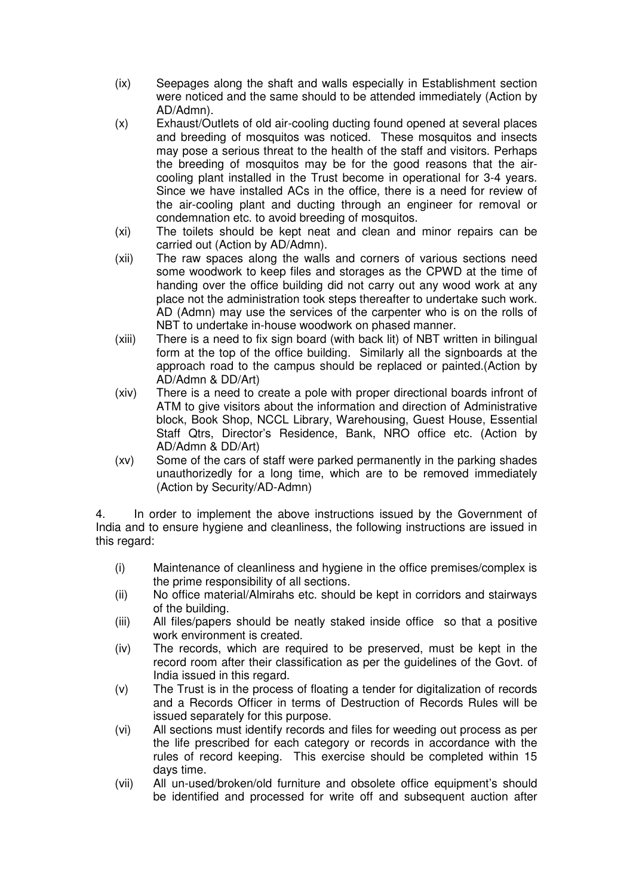- (ix) Seepages along the shaft and walls especially in Establishment section were noticed and the same should to be attended immediately (Action by AD/Admn).
- (x) Exhaust/Outlets of old air-cooling ducting found opened at several places and breeding of mosquitos was noticed. These mosquitos and insects may pose a serious threat to the health of the staff and visitors. Perhaps the breeding of mosquitos may be for the good reasons that the aircooling plant installed in the Trust become in operational for 3-4 years. Since we have installed ACs in the office, there is a need for review of the air-cooling plant and ducting through an engineer for removal or condemnation etc. to avoid breeding of mosquitos.
- (xi) The toilets should be kept neat and clean and minor repairs can be carried out (Action by AD/Admn).
- (xii) The raw spaces along the walls and corners of various sections need some woodwork to keep files and storages as the CPWD at the time of handing over the office building did not carry out any wood work at any place not the administration took steps thereafter to undertake such work. AD (Admn) may use the services of the carpenter who is on the rolls of NBT to undertake in-house woodwork on phased manner.
- (xiii) There is a need to fix sign board (with back lit) of NBT written in bilingual form at the top of the office building. Similarly all the signboards at the approach road to the campus should be replaced or painted.(Action by AD/Admn & DD/Art)
- (xiv) There is a need to create a pole with proper directional boards infront of ATM to give visitors about the information and direction of Administrative block, Book Shop, NCCL Library, Warehousing, Guest House, Essential Staff Qtrs, Director's Residence, Bank, NRO office etc. (Action by AD/Admn & DD/Art)
- (xv) Some of the cars of staff were parked permanently in the parking shades unauthorizedly for a long time, which are to be removed immediately (Action by Security/AD-Admn)

4. In order to implement the above instructions issued by the Government of India and to ensure hygiene and cleanliness, the following instructions are issued in this regard:

- (i) Maintenance of cleanliness and hygiene in the office premises/complex is the prime responsibility of all sections.
- (ii) No office material/Almirahs etc. should be kept in corridors and stairways of the building.
- (iii) All files/papers should be neatly staked inside office so that a positive work environment is created.
- (iv) The records, which are required to be preserved, must be kept in the record room after their classification as per the guidelines of the Govt. of India issued in this regard.
- (v) The Trust is in the process of floating a tender for digitalization of records and a Records Officer in terms of Destruction of Records Rules will be issued separately for this purpose.
- (vi) All sections must identify records and files for weeding out process as per the life prescribed for each category or records in accordance with the rules of record keeping. This exercise should be completed within 15 days time.
- (vii) All un-used/broken/old furniture and obsolete office equipment's should be identified and processed for write off and subsequent auction after